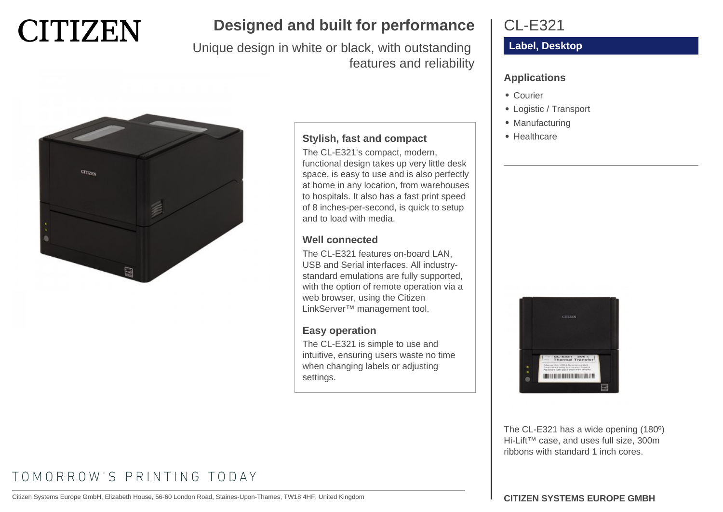

# **Designed and built for performance**

Unique design in white or black, with outstanding features and reliability



### **Stylish, fast and compact**

The CL-E321's compact, modern, functional design takes up very little desk space, is easy to use and is also perfectly at home in any location, from warehouses to hospitals. It also has a fast print speed of 8 inches-per-second, is quick to setup and to load with media.

### **Well connected**

The CL-E321 features on-board LAN, USB and Serial interfaces. All industrystandard emulations are fully supported, with the option of remote operation via a web browser, using the Citizen LinkServer™ management tool.

### **Easy operation**

The CL-E321 is simple to use and intuitive, ensuring users waste no time when changing labels or adjusting settings.

## CL-E321

### **Label, Desktop**

### **Applications**

- Courier
- Logistic / Transport
- Manufacturing
- Healthcare



The CL-E321 has a wide opening (180º) Hi-Lift™ case, and uses full size, 300m ribbons with standard 1 inch cores.

# TOMORROW'S PRINTING TODAY

Citizen Systems Europe GmbH, Elizabeth House, 56-60 London Road, Staines-Upon-Thames, TW18 4HF, United Kingdom **CITIZEN SYSTEMS EUROPE GMBH**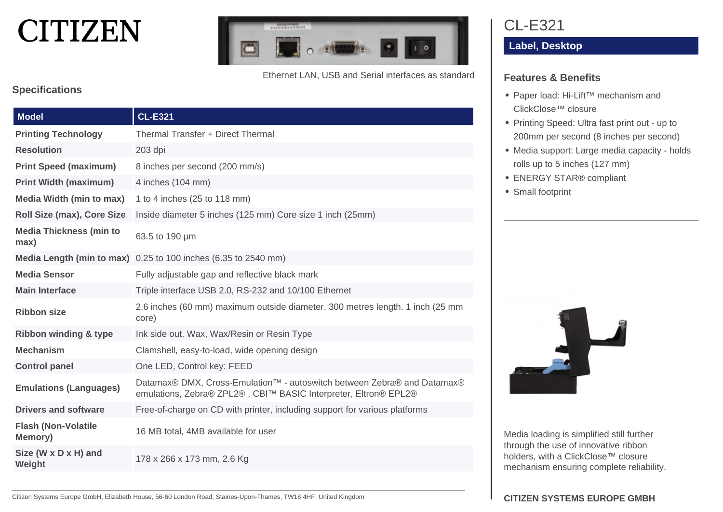# **CITIZEN**



Ethernet LAN, USB and Serial interfaces as standard

### **Specifications**

| <b>Model</b>                           | <b>CL-E321</b>                                                                                                                             |
|----------------------------------------|--------------------------------------------------------------------------------------------------------------------------------------------|
| <b>Printing Technology</b>             | Thermal Transfer + Direct Thermal                                                                                                          |
| <b>Resolution</b>                      | $203$ dpi                                                                                                                                  |
| <b>Print Speed (maximum)</b>           | 8 inches per second (200 mm/s)                                                                                                             |
| <b>Print Width (maximum)</b>           | 4 inches (104 mm)                                                                                                                          |
| <b>Media Width (min to max)</b>        | 1 to 4 inches (25 to 118 mm)                                                                                                               |
| Roll Size (max), Core Size             | Inside diameter 5 inches (125 mm) Core size 1 inch (25mm)                                                                                  |
| <b>Media Thickness (min to</b><br>max) | 63.5 to 190 µm                                                                                                                             |
|                                        | Media Length (min to max) 0.25 to 100 inches (6.35 to 2540 mm)                                                                             |
| <b>Media Sensor</b>                    | Fully adjustable gap and reflective black mark                                                                                             |
| <b>Main Interface</b>                  | Triple interface USB 2.0, RS-232 and 10/100 Ethernet                                                                                       |
| <b>Ribbon size</b>                     | 2.6 inches (60 mm) maximum outside diameter. 300 metres length. 1 inch (25 mm<br>core)                                                     |
| <b>Ribbon winding &amp; type</b>       | Ink side out. Wax, Wax/Resin or Resin Type                                                                                                 |
| <b>Mechanism</b>                       | Clamshell, easy-to-load, wide opening design                                                                                               |
| <b>Control panel</b>                   | One LED, Control key: FEED                                                                                                                 |
| <b>Emulations (Languages)</b>          | Datamax® DMX, Cross-Emulation™ - autoswitch between Zebra® and Datamax®<br>emulations, Zebra® ZPL2®, CBI™ BASIC Interpreter, Eltron® EPL2® |
| <b>Drivers and software</b>            | Free-of-charge on CD with printer, including support for various platforms                                                                 |
| <b>Flash (Non-Volatile</b><br>Memory)  | 16 MB total, 4MB available for user                                                                                                        |
| Size (W x D x H) and<br>Weight         | 178 x 266 x 173 mm, 2.6 Kg                                                                                                                 |

CL-E321

**Label, Desktop**

### **Features & Benefits**

- Paper load: Hi-Lift™ mechanism and ClickClose™ closure
- Printing Speed: Ultra fast print out up to 200mm per second (8 inches per second)
- Media support: Large media capacity holds rolls up to 5 inches (127 mm)
- ENERGY STAR® compliant
- Small footprint



Media loading is simplified still further through the use of innovative ribbon holders, with a ClickClose™ closure mechanism ensuring complete reliability.

Citizen Systems Europe GmbH, Elizabeth House, 56-60 London Road, Staines-Upon-Thames, TW18 4HF, United Kingdom **CITIZEN SYSTEMS EUROPE GMBH**